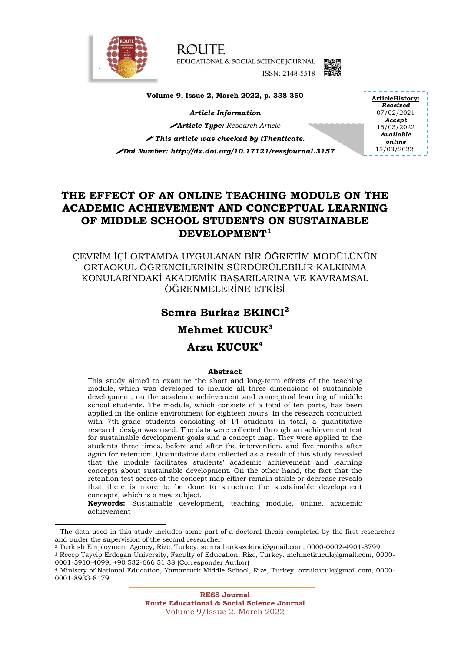

-

**ROUTE** EDUCATIONAL & SOCIAL SCIENCE JOURNAL ISSN: 2148-5518



**Volume 9, Issue 2, March 2022, p. 338-350**

*Article Information*

*Article Type: Research Article This article was checked by iThenticate. Doi Number: http://dx.doi.org/10.17121/ressjournal.3157* **ArticleHistory:** *Received* 07/02/2021 *Accept* 15/03/2022 *Available online* 15/03/2022

# **THE EFFECT OF AN ONLINE TEACHING MODULE ON THE ACADEMIC ACHIEVEMENT AND CONCEPTUAL LEARNING OF MIDDLE SCHOOL STUDENTS ON SUSTAINABLE DEVELOPMENT<sup>1</sup>**

ÇEVRİM İÇİ ORTAMDA UYGULANAN BİR ÖĞRETİM MODÜLÜNÜN ORTAOKUL ÖĞRENCİLERİNİN SÜRDÜRÜLEBİLİR KALKINMA KONULARINDAKİ AKADEMİK BAŞARILARINA VE KAVRAMSAL ÖĞRENMELERİNE ETKİSİ

# **Semra Burkaz EKINCI<sup>2</sup>**

# **Mehmet KUCUK<sup>3</sup>**

# **Arzu KUCUK<sup>4</sup>**

# **Abstract**

This study aimed to examine the short and long-term effects of the teaching module, which was developed to include all three dimensions of sustainable development, on the academic achievement and conceptual learning of middle school students. The module, which consists of a total of ten parts, has been applied in the online environment for eighteen hours. In the research conducted with 7th-grade students consisting of 14 students in total, a quantitative research design was used. The data were collected through an achievement test for sustainable development goals and a concept map. They were applied to the students three times, before and after the intervention, and five months after again for retention. Quantitative data collected as a result of this study revealed that the module facilitates students' academic achievement and learning concepts about sustainable development. On the other hand, the fact that the retention test scores of the concept map either remain stable or decrease reveals that there is more to be done to structure the sustainable development concepts, which is a new subject.

**Keywords:** Sustainable development, teaching module, online, academic achievement

<sup>&</sup>lt;sup>1</sup> The data used in this study includes some part of a doctoral thesis completed by the first researcher and under the supervision of the second researcher.

<sup>2</sup> Turkish Employment Agency, Rize, Turkey. semra.burkazekinci@gmail.com, 0000-0002-4901-3799

<sup>3</sup> Recep Tayyip Erdogan University, Faculty of Education, Rize, Turkey. mehmetkucuk@gmail.com, 0000- 0001-5910-4099, +90 532-666 51 38 (Corresponder Author)

<sup>4</sup> Ministry of National Education, Yamanturk Middle School, Rize, Turkey. arzukucuk@gmail.com, 0000- 0001-8933-8179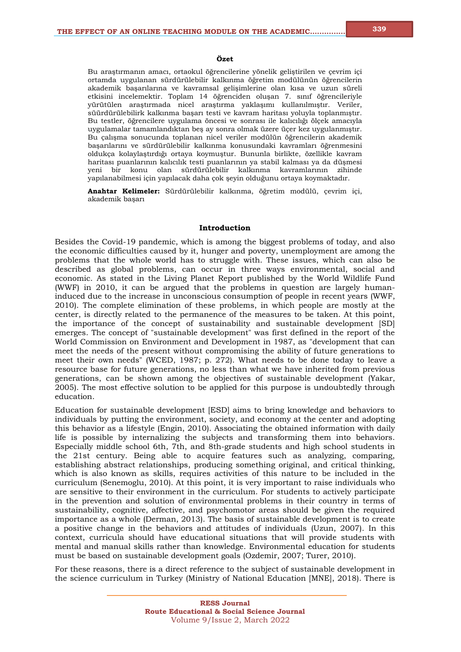#### **Özet**

Bu araştırmanın amacı, ortaokul öğrencilerine yönelik geliştirilen ve çevrim içi ortamda uygulanan sürdürülebilir kalkınma öğretim modülünün öğrencilerin akademik başarılarına ve kavramsal gelişimlerine olan kısa ve uzun süreli etkisini incelemektir. Toplam 14 öğrenciden oluşan 7. sınıf öğrencileriyle yürütülen araştırmada nicel araştırma yaklaşımı kullanılmıştır. Veriler, süürdürülebilirk kalkınma başarı testi ve kavram haritası yoluyla toplanmıştır. Bu testler, öğrencilere uygulama öncesi ve sonrası ile kalıcılığı ölçek amacıyla uygulamalar tamamlandıktan beş ay sonra olmak üzere üçer kez uygulanmıştır. Bu çalışma sonucunda toplanan nicel veriler modülün öğrencilerin akademik başarılarını ve sürdürülebilir kalkınma konusundaki kavramları öğrenmesini oldukça kolaylaştırdığı ortaya koymuştur. Bununla birlikte, özellikle kavram haritası puanlarının kalıcılık testi puanlarının ya stabil kalması ya da düşmesi yeni bir konu olan sürdürülebilir kalkınma kavramlarının zihinde yapılanabilmesi için yapılacak daha çok şeyin olduğunu ortaya koymaktadır.

**Anahtar Kelimeler:** Sürdürülebilir kalkınma, öğretim modülü, çevrim içi, akademik başarı

#### **Introduction**

Besides the Covid-19 pandemic, which is among the biggest problems of today, and also the economic difficulties caused by it, hunger and poverty, unemployment are among the problems that the whole world has to struggle with. These issues, which can also be described as global problems, can occur in three ways environmental, social and economic. As stated in the Living Planet Report published by the World Wildlife Fund (WWF) in 2010, it can be argued that the problems in question are largely humaninduced due to the increase in unconscious consumption of people in recent years (WWF, 2010). The complete elimination of these problems, in which people are mostly at the center, is directly related to the permanence of the measures to be taken. At this point, the importance of the concept of sustainability and sustainable development [SD] emerges. The concept of "sustainable development" was first defined in the report of the World Commission on Environment and Development in 1987, as "development that can meet the needs of the present without compromising the ability of future generations to meet their own needs" (WCED, 1987; p. 272). What needs to be done today to leave a resource base for future generations, no less than what we have inherited from previous generations, can be shown among the objectives of sustainable development (Yakar, 2005). The most effective solution to be applied for this purpose is undoubtedly through education.

Education for sustainable development [ESD] aims to bring knowledge and behaviors to individuals by putting the environment, society, and economy at the center and adopting this behavior as a lifestyle (Engin, 2010). Associating the obtained information with daily life is possible by internalizing the subjects and transforming them into behaviors. Especially middle school 6th, 7th, and 8th-grade students and high school students in the 21st century. Being able to acquire features such as analyzing, comparing, establishing abstract relationships, producing something original, and critical thinking, which is also known as skills, requires activities of this nature to be included in the curriculum (Senemoglu, 2010). At this point, it is very important to raise individuals who are sensitive to their environment in the curriculum. For students to actively participate in the prevention and solution of environmental problems in their country in terms of sustainability, cognitive, affective, and psychomotor areas should be given the required importance as a whole (Derman, 2013). The basis of sustainable development is to create a positive change in the behaviors and attitudes of individuals (Uzun, 2007). In this context, curricula should have educational situations that will provide students with mental and manual skills rather than knowledge. Environmental education for students must be based on sustainable development goals (Ozdemir, 2007; Turer, 2010).

For these reasons, there is a direct reference to the subject of sustainable development in the science curriculum in Turkey (Ministry of National Education [MNE], 2018). There is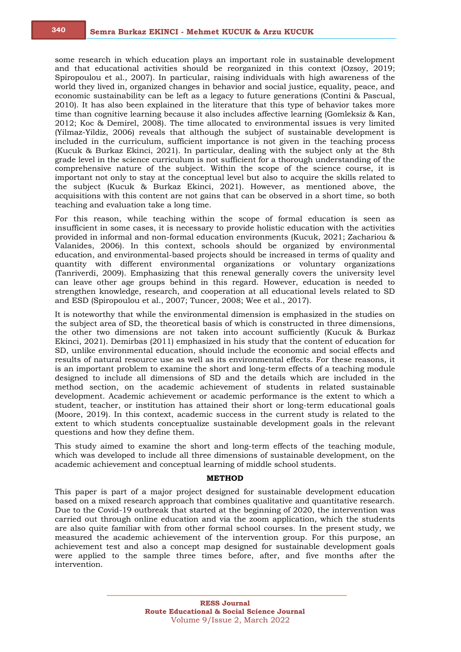some research in which education plays an important role in sustainable development and that educational activities should be reorganized in this context (Ozsoy, 2019; Spiropoulou et al., 2007). In particular, raising individuals with high awareness of the world they lived in, organized changes in behavior and social justice, equality, peace, and economic sustainability can be left as a legacy to future generations (Contini & Pascual, 2010). It has also been explained in the literature that this type of behavior takes more time than cognitive learning because it also includes affective learning (Gomleksiz & Kan, 2012; Koc & Demirel, 2008). The time allocated to environmental issues is very limited (Yilmaz-Yildiz, 2006) reveals that although the subject of sustainable development is included in the curriculum, sufficient importance is not given in the teaching process (Kucuk & Burkaz Ekinci, 2021). In particular, dealing with the subject only at the 8th grade level in the science curriculum is not sufficient for a thorough understanding of the comprehensive nature of the subject. Within the scope of the science course, it is important not only to stay at the conceptual level but also to acquire the skills related to the subject (Kucuk & Burkaz Ekinci, 2021). However, as mentioned above, the acquisitions with this content are not gains that can be observed in a short time, so both teaching and evaluation take a long time.

For this reason, while teaching within the scope of formal education is seen as insufficient in some cases, it is necessary to provide holistic education with the activities provided in informal and non-formal education environments (Kucuk, 2021; Zachariou & Valanides, 2006). In this context, schools should be organized by environmental education, and environmental-based projects should be increased in terms of quality and quantity with different environmental organizations or voluntary organizations (Tanriverdi, 2009). Emphasizing that this renewal generally covers the university level can leave other age groups behind in this regard. However, education is needed to strengthen knowledge, research, and cooperation at all educational levels related to SD and ESD (Spiropoulou et al., 2007; Tuncer, 2008; Wee et al., 2017).

It is noteworthy that while the environmental dimension is emphasized in the studies on the subject area of SD, the theoretical basis of which is constructed in three dimensions, the other two dimensions are not taken into account sufficiently (Kucuk & Burkaz Ekinci, 2021). Demirbas (2011) emphasized in his study that the content of education for SD, unlike environmental education, should include the economic and social effects and results of natural resource use as well as its environmental effects. For these reasons, it is an important problem to examine the short and long-term effects of a teaching module designed to include all dimensions of SD and the details which are included in the method section, on the academic achievement of students in related sustainable development. Academic achievement or academic performance is the extent to which a student, teacher, or institution has attained their short or long-term educational goals (Moore, 2019). In this context, academic success in the current study is related to the extent to which students conceptualize sustainable development goals in the relevant questions and how they define them.

This study aimed to examine the short and long-term effects of the teaching module, which was developed to include all three dimensions of sustainable development, on the academic achievement and conceptual learning of middle school students.

#### **METHOD**

This paper is part of a major project designed for sustainable development education based on a mixed research approach that combines qualitative and quantitative research. Due to the Covid-19 outbreak that started at the beginning of 2020, the intervention was carried out through online education and via the zoom application, which the students are also quite familiar with from other formal school courses. In the present study, we measured the academic achievement of the intervention group. For this purpose, an achievement test and also a concept map designed for sustainable development goals were applied to the sample three times before, after, and five months after the intervention.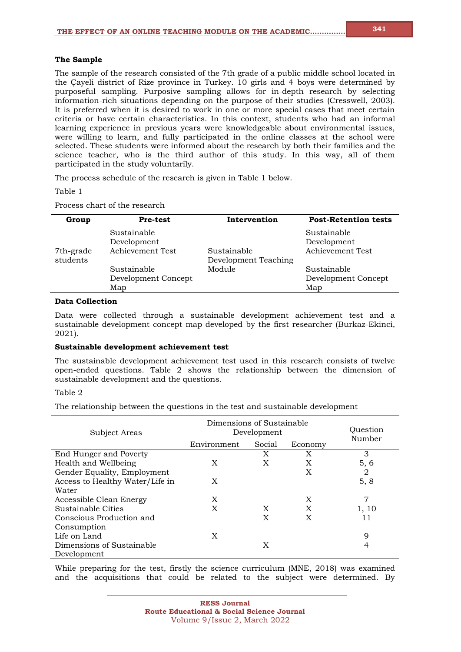# **The Sample**

The sample of the research consisted of the 7th grade of a public middle school located in the Çayeli district of Rize province in Turkey. 10 girls and 4 boys were determined by purposeful sampling. Purposive sampling allows for in-depth research by selecting information-rich situations depending on the purpose of their studies (Cresswell, 2003). It is preferred when it is desired to work in one or more special cases that meet certain criteria or have certain characteristics. In this context, students who had an informal learning experience in previous years were knowledgeable about environmental issues, were willing to learn, and fully participated in the online classes at the school were selected. These students were informed about the research by both their families and the science teacher, who is the third author of this study. In this way, all of them participated in the study voluntarily.

The process schedule of the research is given in Table 1 below.

Table 1

Process chart of the research

| Group     | <b>Pre-test</b>     | Intervention         | <b>Post-Retention tests</b> |
|-----------|---------------------|----------------------|-----------------------------|
|           | Sustainable         |                      | Sustainable                 |
|           | Development         |                      | Development                 |
| 7th-grade | Achievement Test    | Sustainable          | Achievement Test            |
| students  |                     | Development Teaching |                             |
|           | Sustainable         | Module               | Sustainable                 |
|           | Development Concept |                      | Development Concept         |
|           | Map                 |                      | Map                         |

# **Data Collection**

Data were collected through a sustainable development achievement test and a sustainable development concept map developed by the first researcher (Burkaz-Ekinci, 2021).

#### **Sustainable development achievement test**

The sustainable development achievement test used in this research consists of twelve open-ended questions. Table 2 shows the relationship between the dimension of sustainable development and the questions.

### Table 2

The relationship between the questions in the test and sustainable development

| Subject Areas                   | Dimensions of Sustainable<br>Development | Ouestion |         |        |
|---------------------------------|------------------------------------------|----------|---------|--------|
|                                 | Environment                              | Social   | Economy | Number |
| End Hunger and Poverty          |                                          | X        | X       | 3      |
| Health and Wellbeing            | X                                        | X        | X       | 5, 6   |
| Gender Equality, Employment     |                                          |          | X       | 2      |
| Access to Healthy Water/Life in | X                                        |          |         | 5, 8   |
| Water                           |                                          |          |         |        |
| Accessible Clean Energy         | X                                        |          | X       | 7      |
| Sustainable Cities              | X                                        | X        | X       | 1, 10  |
| Conscious Production and        |                                          | X        | X       | 11     |
| Consumption                     |                                          |          |         |        |
| Life on Land                    | X                                        |          |         | 9      |
| Dimensions of Sustainable       |                                          | X        |         | 4      |
| Development                     |                                          |          |         |        |

While preparing for the test, firstly the science curriculum (MNE, 2018) was examined and the acquisitions that could be related to the subject were determined. By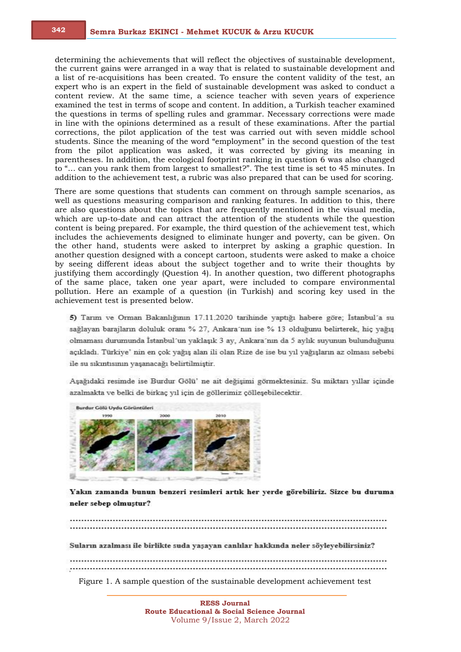determining the achievements that will reflect the objectives of sustainable development, the current gains were arranged in a way that is related to sustainable development and a list of re-acquisitions has been created. To ensure the content validity of the test, an expert who is an expert in the field of sustainable development was asked to conduct a content review. At the same time, a science teacher with seven years of experience examined the test in terms of scope and content. In addition, a Turkish teacher examined the questions in terms of spelling rules and grammar. Necessary corrections were made in line with the opinions determined as a result of these examinations. After the partial corrections, the pilot application of the test was carried out with seven middle school students. Since the meaning of the word "employment" in the second question of the test from the pilot application was asked, it was corrected by giving its meaning in parentheses. In addition, the ecological footprint ranking in question 6 was also changed to "… can you rank them from largest to smallest?". The test time is set to 45 minutes. In addition to the achievement test, a rubric was also prepared that can be used for scoring.

There are some questions that students can comment on through sample scenarios, as well as questions measuring comparison and ranking features. In addition to this, there are also questions about the topics that are frequently mentioned in the visual media, which are up-to-date and can attract the attention of the students while the question content is being prepared. For example, the third question of the achievement test, which includes the achievements designed to eliminate hunger and poverty, can be given. On the other hand, students were asked to interpret by asking a graphic question. In another question designed with a concept cartoon, students were asked to make a choice by seeing different ideas about the subject together and to write their thoughts by justifying them accordingly (Question 4). In another question, two different photographs of the same place, taken one year apart, were included to compare environmental pollution. Here an example of a question (in Turkish) and scoring key used in the achievement test is presented below.

5) Tarım ve Orman Bakanlığının 17.11.2020 tarihinde yaptığı habere göre; İstanbul'a su sağlayan barajların doluluk oranı % 27, Ankara'nın ise % 13 olduğunu belirterek, hiç yağış olmaması durumunda İstanbul'un yaklaşık 3 ay, Ankara'nın da 5 aylık suyunun bulunduğunu açıkladı. Türkiye' nin en çok yağış alan ili olan Rize de ise bu yıl yağışların az olması sebebi ile su sıkıntısının yaşanacağı belirtilmiştir.

Aşağıdaki resimde ise Burdur Gölü'ne ait değişimi görmektesiniz. Su miktarı yıllar içinde azalmakta ve belki de birkaç yıl için de göllerimiz çölleşebilecektir.



Yakın zamanda bunun benzeri resimleri artık her yerde görebiliriz. Sizce bu duruma neler sebep olmuştur?

Suların azalması ile birlikte suda yaşayan canlılar hakkında neler söyleyebilirsiniz? Figure 1. A sample question of the sustainable development achievement test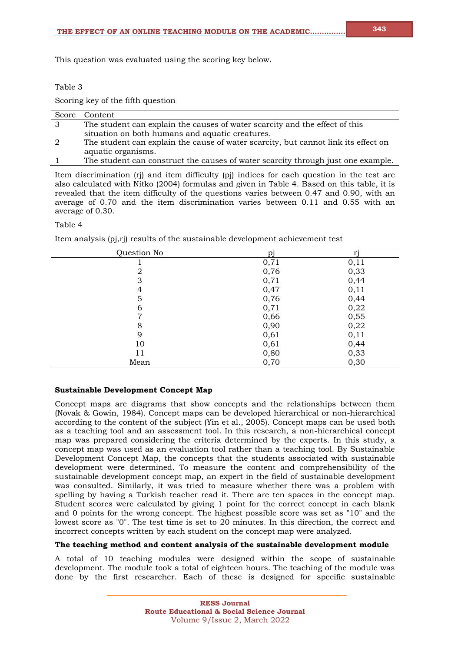#### Table 3

Scoring key of the fifth question

|    | Score Content                                                                      |
|----|------------------------------------------------------------------------------------|
| 3  | The student can explain the causes of water scarcity and the effect of this        |
|    | situation on both humans and aquatic creatures.                                    |
| -2 | The student can explain the cause of water scarcity, but cannot link its effect on |
|    | aquatic organisms.                                                                 |
|    | The student can construct the causes of water scarcity through just one example.   |

Item discrimination (rj) and item difficulty (pj) indices for each question in the test are also calculated with Nitko (2004) formulas and given in Table 4. Based on this table, it is revealed that the item difficulty of the questions varies between 0.47 and 0.90, with an average of 0.70 and the item discrimination varies between 0.11 and 0.55 with an average of 0.30.

#### Table 4

Item analysis (pj,rj) results of the sustainable development achievement test

| Question No    | pj   | ri   |
|----------------|------|------|
|                | 0,71 | 0,11 |
| $\overline{2}$ | 0,76 | 0,33 |
| 3              | 0,71 | 0,44 |
| 4              | 0,47 | 0,11 |
| 5              | 0,76 | 0,44 |
| 6              | 0,71 | 0,22 |
| 7              | 0,66 | 0,55 |
| 8              | 0,90 | 0,22 |
| 9              | 0,61 | 0,11 |
| 10             | 0,61 | 0,44 |
| 11             | 0,80 | 0,33 |
| Mean           | 0,70 | 0,30 |

# **Sustainable Development Concept Map**

Concept maps are diagrams that show concepts and the relationships between them (Novak & Gowin, 1984). Concept maps can be developed hierarchical or non-hierarchical according to the content of the subject (Yin et al., 2005). Concept maps can be used both as a teaching tool and an assessment tool. In this research, a non-hierarchical concept map was prepared considering the criteria determined by the experts. In this study, a concept map was used as an evaluation tool rather than a teaching tool. By Sustainable Development Concept Map, the concepts that the students associated with sustainable development were determined. To measure the content and comprehensibility of the sustainable development concept map, an expert in the field of sustainable development was consulted. Similarly, it was tried to measure whether there was a problem with spelling by having a Turkish teacher read it. There are ten spaces in the concept map. Student scores were calculated by giving 1 point for the correct concept in each blank and 0 points for the wrong concept. The highest possible score was set as "10" and the lowest score as "0". The test time is set to 20 minutes. In this direction, the correct and incorrect concepts written by each student on the concept map were analyzed.

#### **The teaching method and content analysis of the sustainable development module**

A total of 10 teaching modules were designed within the scope of sustainable development. The module took a total of eighteen hours. The teaching of the module was done by the first researcher. Each of these is designed for specific sustainable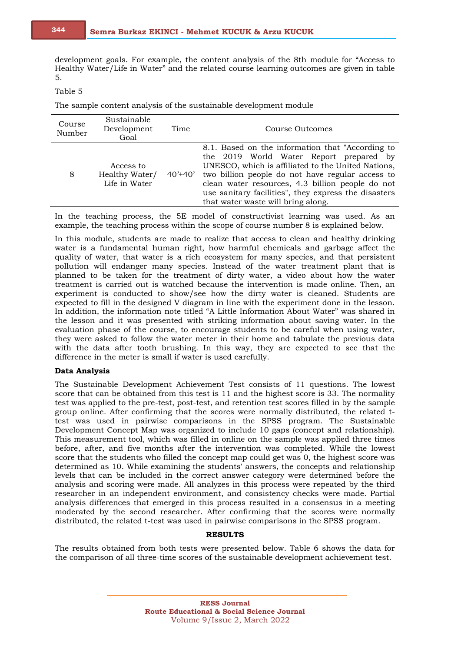development goals. For example, the content analysis of the 8th module for "Access to Healthy Water/Life in Water" and the related course learning outcomes are given in table 5.

### Table 5

The sample content analysis of the sustainable development module

| Course<br>Number | Sustainable<br>Development<br>Goal           | Time        | Course Outcomes                                                                                                                                                                                                                                                                                                                                         |
|------------------|----------------------------------------------|-------------|---------------------------------------------------------------------------------------------------------------------------------------------------------------------------------------------------------------------------------------------------------------------------------------------------------------------------------------------------------|
| 8                | Access to<br>Healthy Water/<br>Life in Water | $40' + 40'$ | 8.1. Based on the information that "According to<br>the 2019 World Water Report prepared by<br>UNESCO, which is affiliated to the United Nations,<br>two billion people do not have regular access to<br>clean water resources, 4.3 billion people do not<br>use sanitary facilities", they express the disasters<br>that water waste will bring along. |

In the teaching process, the 5E model of constructivist learning was used. As an example, the teaching process within the scope of course number 8 is explained below.

In this module, students are made to realize that access to clean and healthy drinking water is a fundamental human right, how harmful chemicals and garbage affect the quality of water, that water is a rich ecosystem for many species, and that persistent pollution will endanger many species. Instead of the water treatment plant that is planned to be taken for the treatment of dirty water, a video about how the water treatment is carried out is watched because the intervention is made online. Then, an experiment is conducted to show/see how the dirty water is cleaned. Students are expected to fill in the designed V diagram in line with the experiment done in the lesson. In addition, the information note titled "A Little Information About Water" was shared in the lesson and it was presented with striking information about saving water. In the evaluation phase of the course, to encourage students to be careful when using water, they were asked to follow the water meter in their home and tabulate the previous data with the data after tooth brushing. In this way, they are expected to see that the difference in the meter is small if water is used carefully.

#### **Data Analysis**

The Sustainable Development Achievement Test consists of 11 questions. The lowest score that can be obtained from this test is 11 and the highest score is 33. The normality test was applied to the pre-test, post-test, and retention test scores filled in by the sample group online. After confirming that the scores were normally distributed, the related ttest was used in pairwise comparisons in the SPSS program. The Sustainable Development Concept Map was organized to include 10 gaps (concept and relationship). This measurement tool, which was filled in online on the sample was applied three times before, after, and five months after the intervention was completed. While the lowest score that the students who filled the concept map could get was 0, the highest score was determined as 10. While examining the students' answers, the concepts and relationship levels that can be included in the correct answer category were determined before the analysis and scoring were made. All analyzes in this process were repeated by the third researcher in an independent environment, and consistency checks were made. Partial analysis differences that emerged in this process resulted in a consensus in a meeting moderated by the second researcher. After confirming that the scores were normally distributed, the related t-test was used in pairwise comparisons in the SPSS program.

# **RESULTS**

The results obtained from both tests were presented below. Table 6 shows the data for the comparison of all three-time scores of the sustainable development achievement test.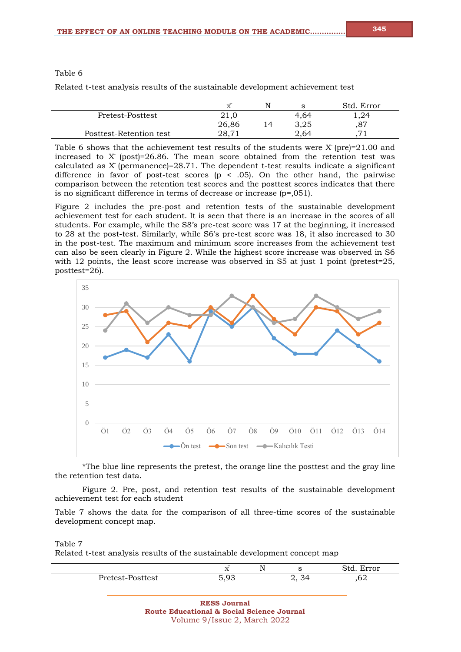# Table 6

Related t-test analysis results of the sustainable development achievement test

|       | N |      | Std.<br>Error  |
|-------|---|------|----------------|
| 21,0  |   | 4.64 | 1,24           |
| 26,86 |   | 3,25 | $\circ$<br>، ہ |
| 28.71 |   | 2.64 | $\overline{ }$ |
|       |   |      |                |

Table 6 shows that the achievement test results of the students were  $X$  (pre)=21.00 and increased to  $X$  (post)=26.86. The mean score obtained from the retention test was calculated as X̄(permanence)=28.71. The dependent t-test results indicate a significant difference in favor of post-test scores ( $p \le .05$ ). On the other hand, the pairwise comparison between the retention test scores and the posttest scores indicates that there is no significant difference in terms of decrease or increase (p=,051).

Figure 2 includes the pre-post and retention tests of the sustainable development achievement test for each student. It is seen that there is an increase in the scores of all students. For example, while the S8's pre-test score was 17 at the beginning, it increased to 28 at the post-test. Similarly, while S6's pre-test score was 18, it also increased to 30 in the post-test. The maximum and minimum score increases from the achievement test can also be seen clearly in Figure 2. While the highest score increase was observed in S6 with 12 points, the least score increase was observed in S5 at just 1 point (pretest=25, posttest=26).



\*The blue line represents the pretest, the orange line the posttest and the gray line the retention test data.

Figure 2. Pre, post, and retention test results of the sustainable development achievement test for each student

Table 7 shows the data for the comparison of all three-time scores of the sustainable development concept map.

Table 7

Related t-test analysis results of the sustainable development concept map

|                  | $\overline{\phantom{a}}$<br>$\sim$ $\sim$ | N<br>. . |       | Std.<br>Error |
|------------------|-------------------------------------------|----------|-------|---------------|
| Pretest-Posttest | 503                                       |          | ູ ບ⊤. | ົ<br>υ4       |

**RESS Journal Route Educational & Social Science Journal** Volume 9/Issue 2, March 2022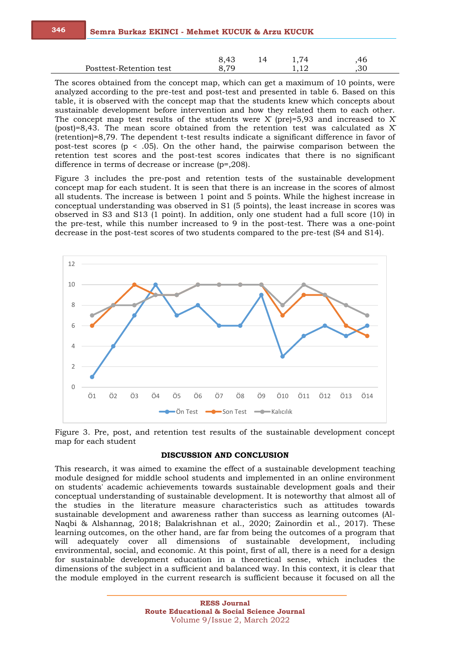|                         | ?.4১ |  |     |
|-------------------------|------|--|-----|
| Posttest-Retention test |      |  | .3U |

The scores obtained from the concept map, which can get a maximum of 10 points, were analyzed according to the pre-test and post-test and presented in table 6. Based on this table, it is observed with the concept map that the students knew which concepts about sustainable development before intervention and how they related them to each other. The concept map test results of the students were  $X$  (pre)=5,93 and increased to X (post)=8,43. The mean score obtained from the retention test was calculated as  $X$ (retention)=8,79. The dependent t-test results indicate a significant difference in favor of post-test scores (p < .05). On the other hand, the pairwise comparison between the retention test scores and the post-test scores indicates that there is no significant difference in terms of decrease or increase (p=,208).

Figure 3 includes the pre-post and retention tests of the sustainable development concept map for each student. It is seen that there is an increase in the scores of almost all students. The increase is between 1 point and 5 points. While the highest increase in conceptual understanding was observed in S1 (5 points), the least increase in scores was observed in S3 and S13 (1 point). In addition, only one student had a full score (10) in the pre-test, while this number increased to 9 in the post-test. There was a one-point decrease in the post-test scores of two students compared to the pre-test (S4 and S14).



Figure 3. Pre, post, and retention test results of the sustainable development concept map for each student

#### **DISCUSSION AND CONCLUSION**

This research, it was aimed to examine the effect of a sustainable development teaching module designed for middle school students and implemented in an online environment on students' academic achievements towards sustainable development goals and their conceptual understanding of sustainable development. It is noteworthy that almost all of the studies in the literature measure characteristics such as attitudes towards sustainable development and awareness rather than success as learning outcomes (Al-Naqbi & Alshannag, 2018; Balakrishnan et al., 2020; Zainordin et al., 2017). These learning outcomes, on the other hand, are far from being the outcomes of a program that will adequately cover all dimensions of sustainable development, including environmental, social, and economic. At this point, first of all, there is a need for a design for sustainable development education in a theoretical sense, which includes the dimensions of the subject in a sufficient and balanced way. In this context, it is clear that the module employed in the current research is sufficient because it focused on all the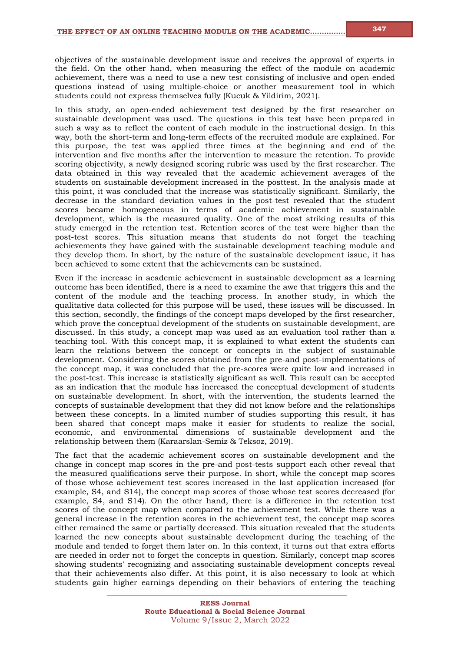objectives of the sustainable development issue and receives the approval of experts in the field. On the other hand, when measuring the effect of the module on academic achievement, there was a need to use a new test consisting of inclusive and open-ended questions instead of using multiple-choice or another measurement tool in which students could not express themselves fully (Kucuk & Yildirim, 2021).

In this study, an open-ended achievement test designed by the first researcher on sustainable development was used. The questions in this test have been prepared in such a way as to reflect the content of each module in the instructional design. In this way, both the short-term and long-term effects of the recruited module are explained. For this purpose, the test was applied three times at the beginning and end of the intervention and five months after the intervention to measure the retention. To provide scoring objectivity, a newly designed scoring rubric was used by the first researcher. The data obtained in this way revealed that the academic achievement averages of the students on sustainable development increased in the posttest. In the analysis made at this point, it was concluded that the increase was statistically significant. Similarly, the decrease in the standard deviation values in the post-test revealed that the student scores became homogeneous in terms of academic achievement in sustainable development, which is the measured quality. One of the most striking results of this study emerged in the retention test. Retention scores of the test were higher than the post-test scores. This situation means that students do not forget the teaching achievements they have gained with the sustainable development teaching module and they develop them. In short, by the nature of the sustainable development issue, it has been achieved to some extent that the achievements can be sustained.

Even if the increase in academic achievement in sustainable development as a learning outcome has been identified, there is a need to examine the awe that triggers this and the content of the module and the teaching process. In another study, in which the qualitative data collected for this purpose will be used, these issues will be discussed. In this section, secondly, the findings of the concept maps developed by the first researcher, which prove the conceptual development of the students on sustainable development, are discussed. In this study, a concept map was used as an evaluation tool rather than a teaching tool. With this concept map, it is explained to what extent the students can learn the relations between the concept or concepts in the subject of sustainable development. Considering the scores obtained from the pre-and post-implementations of the concept map, it was concluded that the pre-scores were quite low and increased in the post-test. This increase is statistically significant as well. This result can be accepted as an indication that the module has increased the conceptual development of students on sustainable development. In short, with the intervention, the students learned the concepts of sustainable development that they did not know before and the relationships between these concepts. In a limited number of studies supporting this result, it has been shared that concept maps make it easier for students to realize the social, economic, and environmental dimensions of sustainable development and the relationship between them (Karaarslan-Semiz & Teksoz, 2019).

The fact that the academic achievement scores on sustainable development and the change in concept map scores in the pre-and post-tests support each other reveal that the measured qualifications serve their purpose. In short, while the concept map scores of those whose achievement test scores increased in the last application increased (for example, S4, and S14), the concept map scores of those whose test scores decreased (for example, S4, and S14). On the other hand, there is a difference in the retention test scores of the concept map when compared to the achievement test. While there was a general increase in the retention scores in the achievement test, the concept map scores either remained the same or partially decreased. This situation revealed that the students learned the new concepts about sustainable development during the teaching of the module and tended to forget them later on. In this context, it turns out that extra efforts are needed in order not to forget the concepts in question. Similarly, concept map scores showing students' recognizing and associating sustainable development concepts reveal that their achievements also differ. At this point, it is also necessary to look at which students gain higher earnings depending on their behaviors of entering the teaching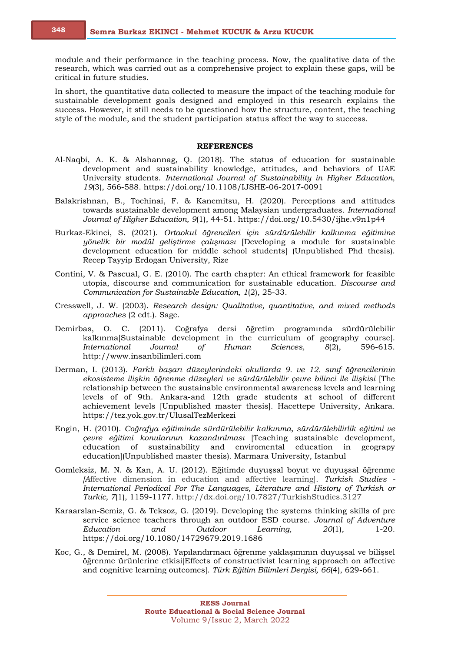module and their performance in the teaching process. Now, the qualitative data of the research, which was carried out as a comprehensive project to explain these gaps, will be critical in future studies.

In short, the quantitative data collected to measure the impact of the teaching module for sustainable development goals designed and employed in this research explains the success. However, it still needs to be questioned how the structure, content, the teaching style of the module, and the student participation status affect the way to success.

#### **REFERENCES**

- Al-Naqbi, A. K. & Alshannag, Q. (2018). The status of education for sustainable development and sustainability knowledge, attitudes, and behaviors of UAE University students. *International Journal of Sustainability in Higher Education, 19*(3), 566-588. https://doi.org/10.1108/IJSHE-06-2017-0091
- Balakrishnan, B., Tochinai, F. & Kanemitsu, H. (2020). Perceptions and attitudes towards sustainable development among Malaysian undergraduates. *International Journal of Higher Education, 9*(1), 44-51. https://doi.org/10.5430/ijhe.v9n1p44
- Burkaz-Ekinci, S. (2021). *Ortaokul öğrencileri için sürdürülebilir kalkınma eğitimine yönelik bir modül geliştirme çalışması* [Developing a module for sustainable development education for middle school students] (Unpublished Phd thesis). Recep Tayyip Erdogan University, Rize
- Contini, V. & Pascual, G. E. (2010). The earth chapter: An ethical framework for feasible utopia, discourse and communication for sustainable education. *Discourse and Communication for Sustainable Education, 1*(2), 25-33.
- Cresswell, J. W. (2003). *Research design: Qualitative, quantitative, and mixed methods approaches* (2 edt.). Sage.
- Demirbas, O. C. (2011). Coğrafya dersi öğretim programında sürdürülebilir kalkınma[Sustainable development in the curriculum of geography course]. *International Journal of Human Sciences, 8*(2), 596-615. http://www.insanbilimleri.com
- Derman, I. (2013). *Farklı başarı düzeylerindeki okullarda 9. ve 12. sınıf öğrencilerinin ekosisteme ilişkin öğrenme düzeyleri ve sürdürülebilir çevre bilinci ile ilişkisi* [The relationship between the sustainable environmental awareness levels and learning levels of of 9th. Ankara-and 12th grade students at school of different achievement levels [Unpublished master thesis]. Hacettepe University, Ankara. https://tez.yok.gov.tr/UlusalTezMerkezi
- Engin, H. (2010). *Coğrafya eğitiminde sürdürülebilir kalkınma, sürdürülebilirlik eğitimi ve çevre eğitimi konularının kazandırılması* [Teaching sustainable development, education of sustainability and enviromental education in geograpy education](Unpublished master thesis)*.* Marmara University, Istanbul
- Gomleksiz, M. N. & Kan, A. U. (2012). Eğitimde duyuşsal boyut ve duyuşsal öğrenme *[A*ffective dimension in education and affective learning]. *Turkish Studies - International Periodical For The Languages, Literature and History of Turkish or Turkic, 7*(1), 1159-1177. http://dx.doi.org/10.7827/TurkishStudies.3127
- Karaarslan-Semiz, G. & Teksoz, G. (2019). Developing the systems thinking skills of pre service science teachers through an outdoor ESD course. *Journal of Adventure Education and Outdoor Learning, 20*(1), 1-20. https://doi.org/10.1080/14729679.2019.1686
- Koc, G., & Demirel, M. (2008). Yapılandırmacı öğrenme yaklaşımının duyuşsal ve bilişsel öğrenme ürünlerine etkisi[Effects of constructivist learning approach on affective and cognitive learning outcomes]. *Türk Eğitim Bilimleri Dergisi, 66*(4), 629-661.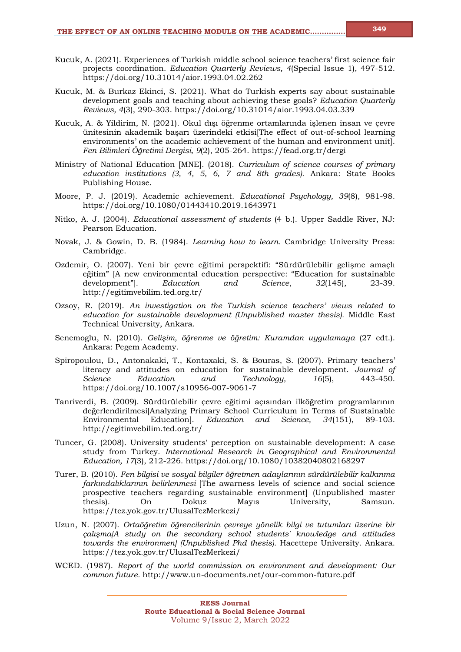- Kucuk, A. (2021). Experiences of Turkish middle school science teachers' first science fair projects coordination. *Education Quarterly Reviews, 4*(Special Issue 1), 497-512. https://doi.org/10.31014/aior.1993.04.02.262
- Kucuk, M. & Burkaz Ekinci, S. (2021). What do Turkish experts say about sustainable development goals and teaching about achieving these goals? *Education Quarterly Reviews, 4*(3), 290-303. https://doi.org/10.31014/aior.1993.04.03.339
- Kucuk, A. & Yildirim, N. (2021). Okul dışı öğrenme ortamlarında işlenen insan ve çevre ünitesinin akademik başarı üzerindeki etkisi[The effect of out-of-school learning environments' on the academic achievement of the human and environment unit]. *Fen Bilimleri Öğretimi Dergisi, 9*(2), 205-264. https://fead.org.tr/dergi
- Ministry of National Education [MNE]. (2018). *Curriculum of science courses of primary education institutions (3, 4, 5, 6, 7 and 8th grades).* Ankara: State Books Publishing House.
- Moore, P. J. (2019). Academic achievement. *Educational Psychology, 39*(8), 981-98. https://doi.org/10.1080/01443410.2019.1643971
- Nitko, A. J. (2004). *Educational assessment of students* (4 b.). Upper Saddle River, NJ: Pearson Education.
- Novak, J. & Gowin, D. B. (1984). *Learning how to learn.* Cambridge University Press: Cambridge.
- Ozdemir, O. (2007). Yeni bir çevre eğitimi perspektifi: "Sürdürülebilir gelişme amaçlı eğitim" [A new environmental education perspective: "Education for sustainable development"]. *Education and Science*, *32*(145), 23-39. http://egitimvebilim.ted.org.tr/
- Ozsoy, R. (2019). *An investigation on the Turkish science teachers' views related to education for sustainable development (Unpublished master thesis).* Middle East Technical University, Ankara.
- Senemoglu, N. (2010). *Gelişim, öğrenme ve öğretim: Kuramdan uygulamaya* (27 edt.). Ankara: Pegem Academy.
- Spiropoulou, D., Antonakaki, T., Kontaxaki, S. & Bouras, S. (2007). Primary teachers' literacy and attitudes on education for sustainable development. *Journal of Science Education and Technology, 16*(5), 443-450. https://doi.org/10.1007/s10956-007-9061-7
- Tanriverdi, B. (2009). Sürdürülebilir çevre eğitimi açısından ilköğretim programlarının değerlendirilmesi[Analyzing Primary School Curriculum in Terms of Sustainable Environmental Education]. *Education and Science, 34*(151), 89-103. http://egitimvebilim.ted.org.tr/
- Tuncer, G. (2008). University students' perception on sustainable development: A case study from Turkey. *International Research in Geographical and Environmental Education, 17*(3), 212-226. https://doi.org/10.1080/10382040802168297
- Turer, B. (2010). *Fen bilgisi ve sosyal bilgiler öğretmen adaylarının sürdürülebilir kalkınma farkındalıklarının belirlenmesi* [The awarness levels of science and social science prospective teachers regarding sustainable environment] (Unpublished master thesis)*.* On Dokuz Mayıs University, Samsun. https://tez.yok.gov.tr/UlusalTezMerkezi/
- Uzun, N. (2007). *Ortaöğretim öğrencilerinin çevreye yönelik bilgi ve tutumları üzerine bir çalışma[A study on the secondary school students' knowledge and attitudes towards the environmen] (Unpublished Phd thesis).* Hacettepe University. Ankara. https://tez.yok.gov.tr/UlusalTezMerkezi/
- WCED. (1987). *Report of the world commission on environment and development: Our common future.* http://www.un-documents.net/our-common-future.pdf